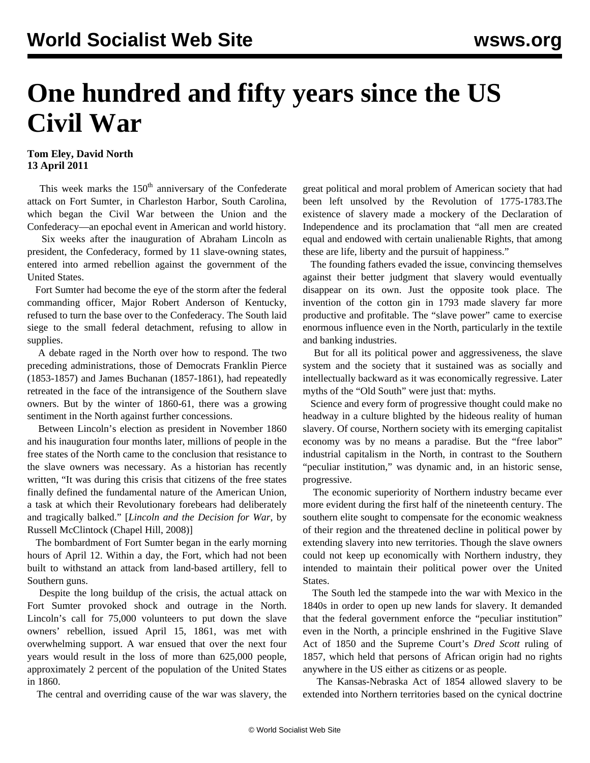## **One hundred and fifty years since the US Civil War**

## **Tom Eley, David North 13 April 2011**

This week marks the  $150<sup>th</sup>$  anniversary of the Confederate attack on Fort Sumter, in Charleston Harbor, South Carolina, which began the Civil War between the Union and the Confederacy—an epochal event in American and world history.

 Six weeks after the inauguration of Abraham Lincoln as president, the Confederacy, formed by 11 slave-owning states, entered into armed rebellion against the government of the United States.

 Fort Sumter had become the eye of the storm after the federal commanding officer, Major Robert Anderson of Kentucky, refused to turn the base over to the Confederacy. The South laid siege to the small federal detachment, refusing to allow in supplies.

 A debate raged in the North over how to respond. The two preceding administrations, those of Democrats Franklin Pierce (1853-1857) and James Buchanan (1857-1861), had repeatedly retreated in the face of the intransigence of the Southern slave owners. But by the winter of 1860-61, there was a growing sentiment in the North against further concessions.

 Between Lincoln's election as president in November 1860 and his inauguration four months later, millions of people in the free states of the North came to the conclusion that resistance to the slave owners was necessary. As a historian has recently written, "It was during this crisis that citizens of the free states finally defined the fundamental nature of the American Union, a task at which their Revolutionary forebears had deliberately and tragically balked." [*Lincoln and the Decision for War*, by Russell McClintock (Chapel Hill, 2008)]

 The bombardment of Fort Sumter began in the early morning hours of April 12. Within a day, the Fort, which had not been built to withstand an attack from land-based artillery, fell to Southern guns.

 Despite the long buildup of the crisis, the actual attack on Fort Sumter provoked shock and outrage in the North. Lincoln's call for 75,000 volunteers to put down the slave owners' rebellion, issued April 15, 1861, was met with overwhelming support. A war ensued that over the next four years would result in the loss of more than 625,000 people, approximately 2 percent of the population of the United States in 1860.

The central and overriding cause of the war was slavery, the

great political and moral problem of American society that had been left unsolved by the Revolution of 1775-1783.The existence of slavery made a mockery of the Declaration of Independence and its proclamation that "all men are created equal and endowed with certain unalienable Rights, that among these are life, liberty and the pursuit of happiness."

 The founding fathers evaded the issue, convincing themselves against their better judgment that slavery would eventually disappear on its own. Just the opposite took place. The invention of the cotton gin in 1793 made slavery far more productive and profitable. The "slave power" came to exercise enormous influence even in the North, particularly in the textile and banking industries.

 But for all its political power and aggressiveness, the slave system and the society that it sustained was as socially and intellectually backward as it was economically regressive. Later myths of the "Old South" were just that: myths.

 Science and every form of progressive thought could make no headway in a culture blighted by the hideous reality of human slavery. Of course, Northern society with its emerging capitalist economy was by no means a paradise. But the "free labor" industrial capitalism in the North, in contrast to the Southern "peculiar institution," was dynamic and, in an historic sense, progressive.

 The economic superiority of Northern industry became ever more evident during the first half of the nineteenth century. The southern elite sought to compensate for the economic weakness of their region and the threatened decline in political power by extending slavery into new territories. Though the slave owners could not keep up economically with Northern industry, they intended to maintain their political power over the United States.

 The South led the stampede into the war with Mexico in the 1840s in order to open up new lands for slavery. It demanded that the federal government enforce the "peculiar institution" even in the North, a principle enshrined in the Fugitive Slave Act of 1850 and the Supreme Court's *Dred Scott* ruling of 1857, which held that persons of African origin had no rights anywhere in the US either as citizens or as people.

 The Kansas-Nebraska Act of 1854 allowed slavery to be extended into Northern territories based on the cynical doctrine